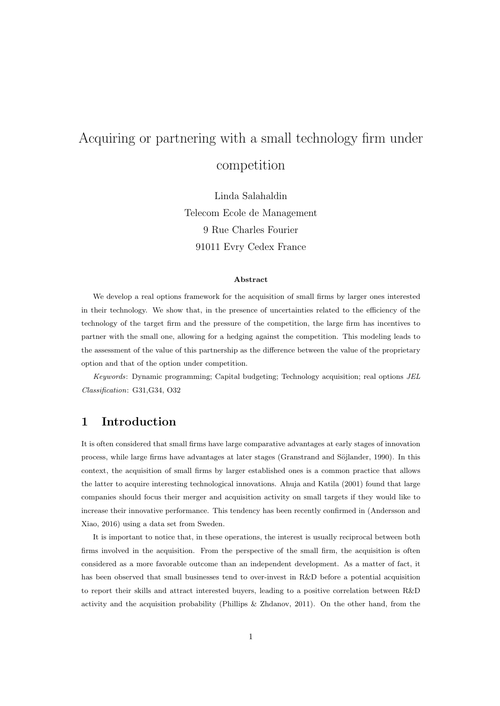# Acquiring or partnering with a small technology firm under competition

Linda Salahaldin Telecom Ecole de Management 9 Rue Charles Fourier 91011 Evry Cedex France

#### **Abstract**

We develop a real options framework for the acquisition of small firms by larger ones interested in their technology. We show that, in the presence of uncertainties related to the efficiency of the technology of the target firm and the pressure of the competition, the large firm has incentives to partner with the small one, allowing for a hedging against the competition. This modeling leads to the assessment of the value of this partnership as the difference between the value of the proprietary option and that of the option under competition.

*Keywords*: Dynamic programming; Capital budgeting; Technology acquisition; real options *JEL Classification*: G31,G34, O32

# **1 Introduction**

It is often considered that small firms have large comparative advantages at early stages of innovation process, while large firms have advantages at later stages (Granstrand and Söjlander, 1990). In this context, the acquisition of small firms by larger established ones is a common practice that allows the latter to acquire interesting technological innovations. Ahuja and Katila (2001) found that large companies should focus their merger and acquisition activity on small targets if they would like to increase their innovative performance. This tendency has been recently confirmed in (Andersson and Xiao, 2016) using a data set from Sweden.

It is important to notice that, in these operations, the interest is usually reciprocal between both firms involved in the acquisition. From the perspective of the small firm, the acquisition is often considered as a more favorable outcome than an independent development. As a matter of fact, it has been observed that small businesses tend to over-invest in R&D before a potential acquisition to report their skills and attract interested buyers, leading to a positive correlation between R&D activity and the acquisition probability (Phillips & Zhdanov, 2011). On the other hand, from the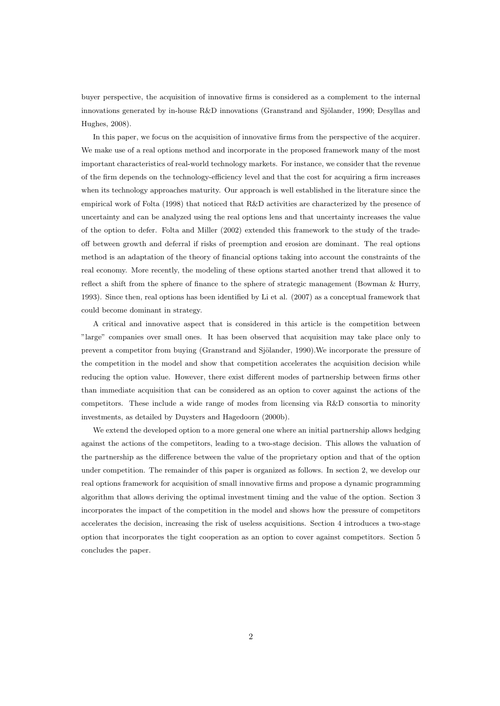buyer perspective, the acquisition of innovative firms is considered as a complement to the internal innovations generated by in-house  $R\&D$  innovations (Granstrand and Sjölander, 1990; Desyllas and Hughes, 2008).

In this paper, we focus on the acquisition of innovative firms from the perspective of the acquirer. We make use of a real options method and incorporate in the proposed framework many of the most important characteristics of real-world technology markets. For instance, we consider that the revenue of the firm depends on the technology-efficiency level and that the cost for acquiring a firm increases when its technology approaches maturity. Our approach is well established in the literature since the empirical work of Folta (1998) that noticed that R&D activities are characterized by the presence of uncertainty and can be analyzed using the real options lens and that uncertainty increases the value of the option to defer. Folta and Miller (2002) extended this framework to the study of the tradeoff between growth and deferral if risks of preemption and erosion are dominant. The real options method is an adaptation of the theory of financial options taking into account the constraints of the real economy. More recently, the modeling of these options started another trend that allowed it to reflect a shift from the sphere of finance to the sphere of strategic management (Bowman & Hurry, 1993). Since then, real options has been identified by Li et al. (2007) as a conceptual framework that could become dominant in strategy.

A critical and innovative aspect that is considered in this article is the competition between "large" companies over small ones. It has been observed that acquisition may take place only to prevent a competitor from buying (Granstrand and Sjölander, 1990). We incorporate the pressure of the competition in the model and show that competition accelerates the acquisition decision while reducing the option value. However, there exist different modes of partnership between firms other than immediate acquisition that can be considered as an option to cover against the actions of the competitors. These include a wide range of modes from licensing via R&D consortia to minority investments, as detailed by Duysters and Hagedoorn (2000b).

We extend the developed option to a more general one where an initial partnership allows hedging against the actions of the competitors, leading to a two-stage decision. This allows the valuation of the partnership as the difference between the value of the proprietary option and that of the option under competition. The remainder of this paper is organized as follows. In section 2, we develop our real options framework for acquisition of small innovative firms and propose a dynamic programming algorithm that allows deriving the optimal investment timing and the value of the option. Section 3 incorporates the impact of the competition in the model and shows how the pressure of competitors accelerates the decision, increasing the risk of useless acquisitions. Section 4 introduces a two-stage option that incorporates the tight cooperation as an option to cover against competitors. Section 5 concludes the paper.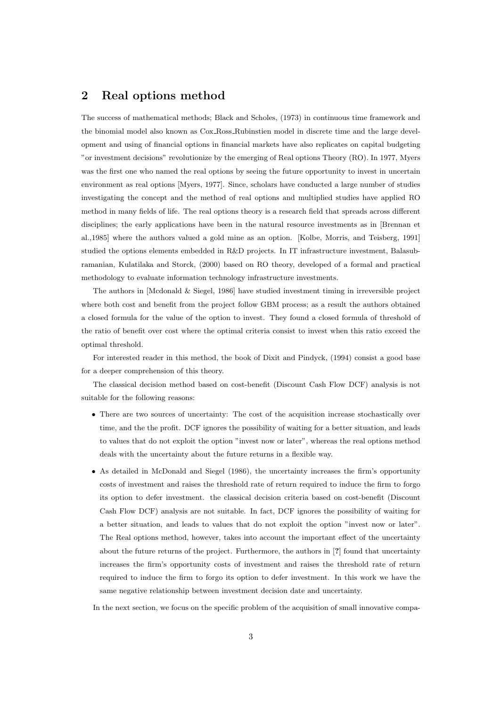# **2 Real options method**

The success of mathematical methods; Black and Scholes, (1973) in continuous time framework and the binomial model also known as Cox Ross Rubinstien model in discrete time and the large development and using of financial options in financial markets have also replicates on capital budgeting "or investment decisions" revolutionize by the emerging of Real options Theory (RO). In 1977, Myers was the first one who named the real options by seeing the future opportunity to invest in uncertain environment as real options [Myers, 1977]. Since, scholars have conducted a large number of studies investigating the concept and the method of real options and multiplied studies have applied RO method in many fields of life. The real options theory is a research field that spreads across different disciplines; the early applications have been in the natural resource investments as in [Brennan et al.,1985] where the authors valued a gold mine as an option. [Kolbe, Morris, and Teisberg, 1991] studied the options elements embedded in R&D projects. In IT infrastructure investment, Balasubramanian, Kulatilaka and Storck, (2000) based on RO theory, developed of a formal and practical methodology to evaluate information technology infrastructure investments.

The authors in [Mcdonald & Siegel, 1986] have studied investment timing in irreversible project where both cost and benefit from the project follow GBM process; as a result the authors obtained a closed formula for the value of the option to invest. They found a closed formula of threshold of the ratio of benefit over cost where the optimal criteria consist to invest when this ratio exceed the optimal threshold.

For interested reader in this method, the book of Dixit and Pindyck, (1994) consist a good base for a deeper comprehension of this theory.

The classical decision method based on cost-benefit (Discount Cash Flow DCF) analysis is not suitable for the following reasons:

- There are two sources of uncertainty: The cost of the acquisition increase stochastically over time, and the the profit. DCF ignores the possibility of waiting for a better situation, and leads to values that do not exploit the option "invest now or later", whereas the real options method deals with the uncertainty about the future returns in a flexible way.
- As detailed in McDonald and Siegel (1986), the uncertainty increases the firm's opportunity costs of investment and raises the threshold rate of return required to induce the firm to forgo its option to defer investment. the classical decision criteria based on cost-benefit (Discount Cash Flow DCF) analysis are not suitable. In fact, DCF ignores the possibility of waiting for a better situation, and leads to values that do not exploit the option "invest now or later". The Real options method, however, takes into account the important effect of the uncertainty about the future returns of the project. Furthermore, the authors in [**?**] found that uncertainty increases the firm's opportunity costs of investment and raises the threshold rate of return required to induce the firm to forgo its option to defer investment. In this work we have the same negative relationship between investment decision date and uncertainty.

In the next section, we focus on the specific problem of the acquisition of small innovative compa-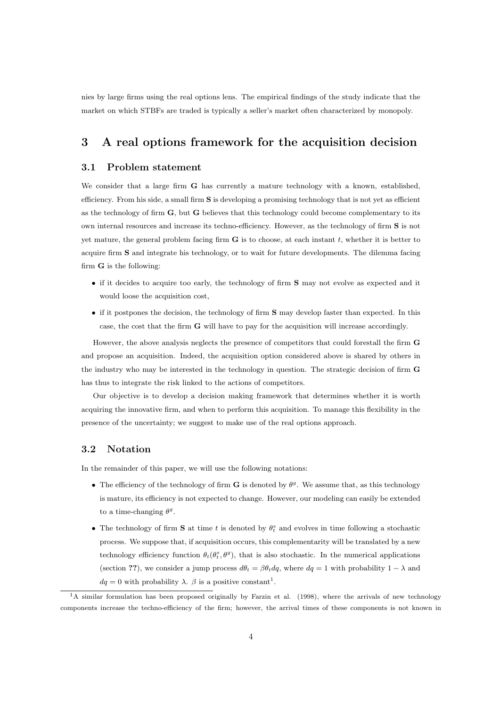nies by large firms using the real options lens. The empirical findings of the study indicate that the market on which STBFs are traded is typically a seller's market often characterized by monopoly.

# **3 A real options framework for the acquisition decision**

### **3.1 Problem statement**

We consider that a large firm **G** has currently a mature technology with a known, established, efficiency. From his side, a small firm **S** is developing a promising technology that is not yet as efficient as the technology of firm **G**, but **G** believes that this technology could become complementary to its own internal resources and increase its techno-efficiency. However, as the technology of firm **S** is not yet mature, the general problem facing firm **G** is to choose, at each instant *t*, whether it is better to acquire firm **S** and integrate his technology, or to wait for future developments. The dilemma facing firm **G** is the following:

- if it decides to acquire too early, the technology of firm **S** may not evolve as expected and it would loose the acquisition cost,
- if it postpones the decision, the technology of firm **S** may develop faster than expected. In this case, the cost that the firm **G** will have to pay for the acquisition will increase accordingly.

However, the above analysis neglects the presence of competitors that could forestall the firm **G** and propose an acquisition. Indeed, the acquisition option considered above is shared by others in the industry who may be interested in the technology in question. The strategic decision of firm **G** has thus to integrate the risk linked to the actions of competitors.

Our objective is to develop a decision making framework that determines whether it is worth acquiring the innovative firm, and when to perform this acquisition. To manage this flexibility in the presence of the uncertainty; we suggest to make use of the real options approach.

## **3.2 Notation**

In the remainder of this paper, we will use the following notations:

- The efficiency of the technology of firm **G** is denoted by  $\theta^g$ . We assume that, as this technology is mature, its efficiency is not expected to change. However, our modeling can easily be extended to a time-changing  $\theta^g$ .
- The technology of firm **S** at time *t* is denoted by  $\theta_t^s$  and evolves in time following a stochastic process. We suppose that, if acquisition occurs, this complementarity will be translated by a new technology efficiency function  $\theta_t(\theta_t^s, \theta^g)$ , that is also stochastic. In the numerical applications (section **??**), we consider a jump process  $d\theta_t = \beta \theta_t dq$ , where  $dq = 1$  with probability  $1 - \lambda$  and  $dq = 0$  with probability  $\lambda$ .  $\beta$  is a positive constant<sup>1</sup>.

<sup>&</sup>lt;sup>1</sup>A similar formulation has been proposed originally by Farzin et al. (1998), where the arrivals of new technology components increase the techno-efficiency of the firm; however, the arrival times of these components is not known in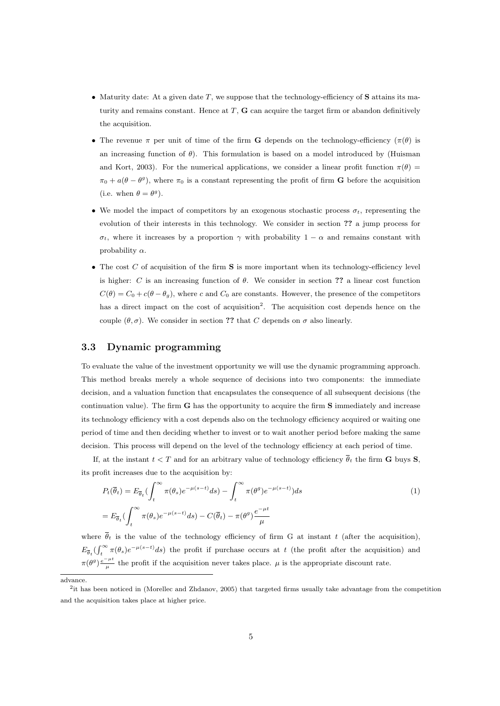- *•* Maturity date: At a given date *T*, we suppose that the technology-efficiency of **S** attains its maturity and remains constant. Hence at *T*, **G** can acquire the target firm or abandon definitively the acquisition.
- The revenue *π* per unit of time of the firm **G** depends on the technology-efficiency ( $\pi(\theta)$ ) is an increasing function of  $\theta$ ). This formulation is based on a model introduced by (Huisman and Kort, 2003). For the numerical applications, we consider a linear profit function  $\pi(\theta)$  $\pi_0 + a(\theta - \theta^g)$ , where  $\pi_0$  is a constant representing the profit of firm **G** before the acquisition (i.e. when  $\theta = \theta^g$ ).
- *•* We model the impact of competitors by an exogenous stochastic process *σt*, representing the evolution of their interests in this technology. We consider in section **??** a jump process for  $\sigma_t$ , where it increases by a proportion  $\gamma$  with probability 1 *− α* and remains constant with probability *α*.
- The cost *C* of acquisition of the firm **S** is more important when its technology-efficiency level is higher: *C* is an increasing function of *θ*. We consider in section **??** a linear cost function  $C(\theta) = C_0 + c(\theta - \theta_q)$ , where *c* and  $C_0$  are constants. However, the presence of the competitors has a direct impact on the cost of acquisition<sup>2</sup>. The acquisition cost depends hence on the couple  $(\theta, \sigma)$ . We consider in section ?? that *C* depends on  $\sigma$  also linearly.

## **3.3 Dynamic programming**

To evaluate the value of the investment opportunity we will use the dynamic programming approach. This method breaks merely a whole sequence of decisions into two components: the immediate decision, and a valuation function that encapsulates the consequence of all subsequent decisions (the continuation value). The firm **G** has the opportunity to acquire the firm **S** immediately and increase its technology efficiency with a cost depends also on the technology efficiency acquired or waiting one period of time and then deciding whether to invest or to wait another period before making the same decision. This process will depend on the level of the technology efficiency at each period of time.

If, at the instant  $t < T$  and for an arbitrary value of technology efficiency  $\overline{\theta}_t$  the firm **G** buys **S**, its profit increases due to the acquisition by:

$$
P_t(\overline{\theta}_t) = E_{\overline{\theta}_t} \left( \int_t^{\infty} \pi(\theta_s) e^{-\mu(s-t)} ds \right) - \int_t^{\infty} \pi(\theta^g) e^{-\mu(s-t)} ds
$$
  
= 
$$
E_{\overline{\theta}_t} \left( \int_t^{\infty} \pi(\theta_s) e^{-\mu(s-t)} ds \right) - C(\overline{\theta}_t) - \pi(\theta^g) \frac{e^{-\mu t}}{\mu}
$$
 (1)

where  $\overline{\theta}_t$  is the value of the technology efficiency of firm G at instant t (after the acquisition),  $E_{\overline{\theta}_t}(\int_t^{\infty} \pi(\theta_s)e^{-\mu(s-t)}ds)$  the profit if purchase occurs at *t* (the profit after the acquisition) and  $\pi(\theta^g) \frac{e^{-\mu t}}{\mu}$  the profit if the acquisition never takes place.  $\mu$  is the appropriate discount rate.

advance.

<sup>&</sup>lt;sup>2</sup> it has been noticed in (Morellec and Zhdanov, 2005) that targeted firms usually take advantage from the competition and the acquisition takes place at higher price.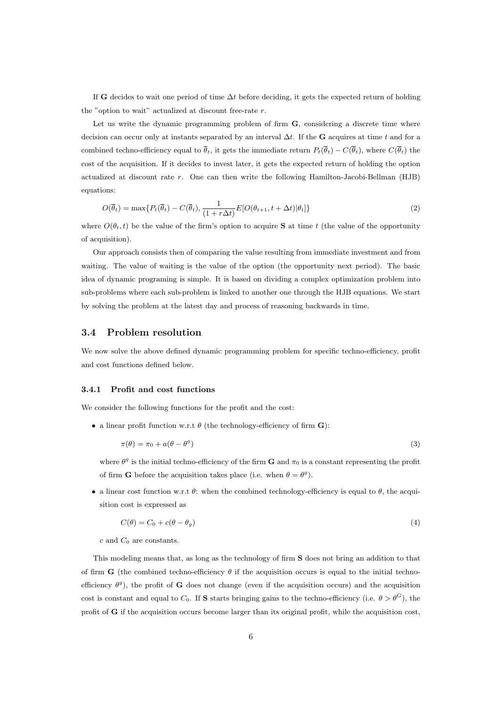If **G** decides to wait one period of time ∆*t* before deciding, it gets the expected return of holding the "option to wait" actualized at discount free-rate *r*.

Let us write the dynamic programming problem of firm **G**, considering a discrete time where decision can occur only at instants separated by an interval ∆*t*. If the **G** acquires at time *t* and for a combined techno-efficiency equal to  $\overline{\theta}_t$ , it gets the immediate return  $P_t(\overline{\theta}_t) - C(\overline{\theta}_t)$ , where  $C(\overline{\theta}_t)$  the cost of the acquisition. If it decides to invest later, it gets the expected return of holding the option actualized at discount rate *r*. One can then write the following Hamilton-Jacobi-Bellman (HJB) equations:

$$
O(\overline{\theta}_t) = \max\{P_t(\overline{\theta}_t) - C(\overline{\theta}_t), \frac{1}{(1+r\Delta t)}E[O(\theta_{t+1}, t+\Delta t)|\theta_t]\}\
$$
\n(2)

where  $O(\theta_t, t)$  be the value of the firm's option to acquire **S** at time *t* (the value of the opportunity of acquisition).

Our approach consists then of comparing the value resulting from immediate investment and from waiting. The value of waiting is the value of the option (the opportunity next period). The basic idea of dynamic programing is simple. It is based on dividing a complex optimization problem into sub-problems where each sub-problem is linked to another one through the HJB equations. We start by solving the problem at the latest day and process of reasoning backwards in time.

### **3.4 Problem resolution**

We now solve the above defined dynamic programming problem for specific techno-efficiency, profit and cost functions defined below.

#### **3.4.1 Profit and cost functions**

We consider the following functions for the profit and the cost:

*•* a linear profit function w.r.t *θ* (the technology-efficiency of firm **G**):

$$
\pi(\theta) = \pi_0 + a(\theta - \theta^g) \tag{3}
$$

where  $\theta^g$  is the initial techno-efficiency of the firm **G** and  $\pi_0$  is a constant representing the profit of firm **G** before the acquisition takes place (i.e. when  $\theta = \theta^g$ ).

• a linear cost function w.r.t  $\theta$ : when the combined technology-efficiency is equal to  $\theta$ , the acquisition cost is expressed as

$$
C(\theta) = C_0 + c(\theta - \theta_g) \tag{4}
$$

*c* and *C*<sup>0</sup> are constants.

This modeling means that, as long as the technology of firm **S** does not bring an addition to that of firm **G** (the combined techno-efficiency  $\theta$  if the acquisition occurs is equal to the initial technoefficiency *θ g* ), the profit of **G** does not change (even if the acquisition occurs) and the acquisition cost is constant and equal to  $C_0$ . If **S** starts bringing gains to the techno-efficiency (i.e.  $\theta > \theta^G$ ), the profit of **G** if the acquisition occurs become larger than its original profit, while the acquisition cost,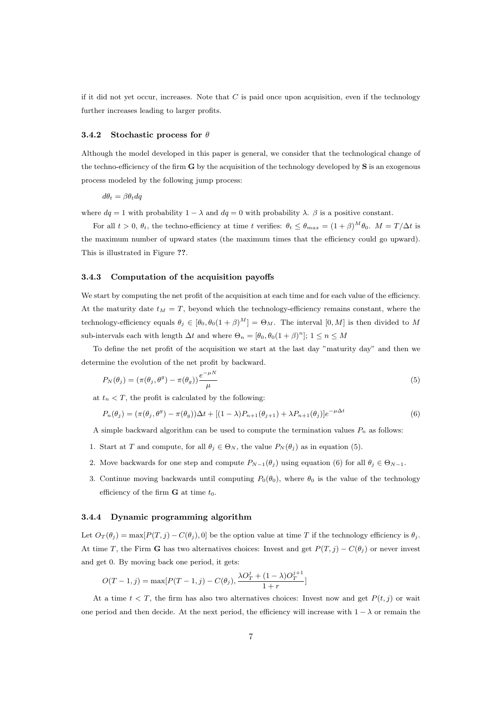if it did not yet occur, increases. Note that  $C$  is paid once upon acquisition, even if the technology further increases leading to larger profits.

#### **3.4.2 Stochastic process for** *θ*

Although the model developed in this paper is general, we consider that the technological change of the techno-efficiency of the firm **G** by the acquisition of the technology developed by **S** is an exogenous process modeled by the following jump process:

$$
d\theta_t = \beta \theta_t dq
$$

where  $dq = 1$  with probability  $1 - \lambda$  and  $dq = 0$  with probability  $\lambda$ .  $\beta$  is a positive constant.

For all  $t > 0$ ,  $\theta_t$ , the techno-efficiency at time *t* verifies:  $\theta_t \leq \theta_{max} = (1 + \beta)^M \theta_0$ .  $M = T/\Delta t$  is the maximum number of upward states (the maximum times that the efficiency could go upward). This is illustrated in Figure **??**.

#### **3.4.3 Computation of the acquisition payoffs**

We start by computing the net profit of the acquisition at each time and for each value of the efficiency. At the maturity date  $t_M = T$ , beyond which the technology-efficiency remains constant, where the technology-efficiency equals  $\theta_j \in [\theta_0, \theta_0(1+\beta)^M] = \Theta_M$ . The interval  $[0, M]$  is then divided to M sub-intervals each with length  $\Delta t$  and where  $\Theta_n = [\theta_0, \theta_0(1+\beta)^n]; 1 \leq n \leq M$ 

To define the net profit of the acquisition we start at the last day "maturity day" and then we determine the evolution of the net profit by backward.

$$
P_N(\theta_j) = (\pi(\theta_j, \theta^g) - \pi(\theta_g)) \frac{e^{-\mu N}}{\mu}
$$
\n(5)

at  $t_n \leq T$ , the profit is calculated by the following:

$$
P_n(\theta_j) = (\pi(\theta_j, \theta^g) - \pi(\theta_g))\Delta t + [(1-\lambda)P_{n+1}(\theta_{j+1}) + \lambda P_{n+1}(\theta_j)]e^{-\mu \Delta t}
$$
\n(6)

A simple backward algorithm can be used to compute the termination values  $P_n$  as follows:

- 1. Start at *T* and compute, for all  $\theta_j \in \Theta_N$ , the value  $P_N(\theta_j)$  as in equation (5).
- 2. Move backwards for one step and compute  $P_{N-1}(\theta_j)$  using equation (6) for all  $\theta_j \in \Theta_{N-1}$ .
- 3. Continue moving backwards until computing  $P_0(\theta_0)$ , where  $\theta_0$  is the value of the technology efficiency of the firm  $\bf{G}$  at time  $t_0$ .

#### **3.4.4 Dynamic programming algorithm**

Let  $O_T(\theta_j) = \max[P(T, j) - C(\theta_j), 0]$  be the option value at time *T* if the technology efficiency is  $\theta_j$ . At time *T*, the Firm **G** has two alternatives choices: Invest and get  $P(T, j) - C(\theta_j)$  or never invest and get 0. By moving back one period, it gets:

$$
O(T-1, j) = \max [P(T-1, j) - C(\theta_j), \frac{\lambda O_T^j + (1 - \lambda)O_T^{j+1}}{1 + r}]
$$

At a time  $t < T$ , the firm has also two alternatives choices: Invest now and get  $P(t, j)$  or wait one period and then decide. At the next period, the efficiency will increase with 1 *− λ* or remain the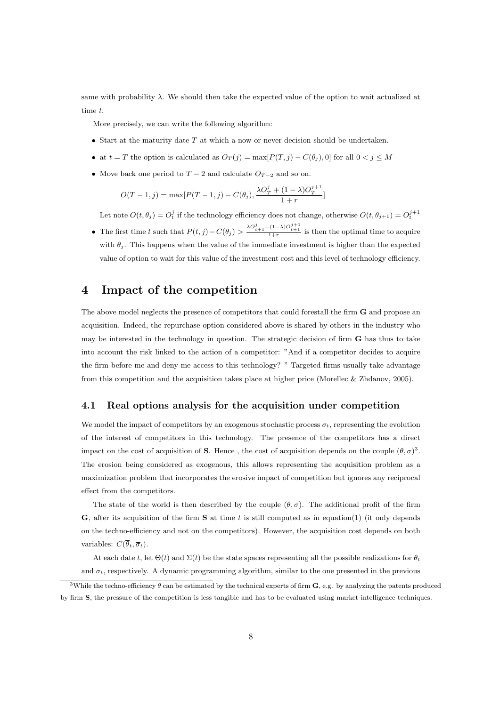same with probability  $\lambda$ . We should then take the expected value of the option to wait actualized at time *t*.

More precisely, we can write the following algorithm:

- *•* Start at the maturity date *T* at which a now or never decision should be undertaken.
- at  $t = T$  the option is calculated as  $O_T(j) = \max[P(T, j) C(\theta_j), 0]$  for all  $0 < j \leq M$
- Move back one period to  $T 2$  and calculate  $O_{T-2}$  and so on.

$$
O(T-1, j) = \max [P(T-1, j) - C(\theta_j), \frac{\lambda O_T^j + (1 - \lambda)O_T^{j+1}}{1 + r}]
$$

Let note  $O(t, \theta_j) = O_t^j$  if the technology efficiency does not change, otherwise  $O(t, \theta_{j+1}) = O_t^{j+1}$ 

• The first time t such that  $P(t, j) - C(\theta_j) > \frac{\lambda O_{t+1}^j + (1-\lambda)O_{t+1}^{j+1}}{1+r}$  is then the optimal time to acquire with  $\theta_i$ . This happens when the value of the immediate investment is higher than the expected value of option to wait for this value of the investment cost and this level of technology efficiency.

# **4 Impact of the competition**

The above model neglects the presence of competitors that could forestall the firm **G** and propose an acquisition. Indeed, the repurchase option considered above is shared by others in the industry who may be interested in the technology in question. The strategic decision of firm **G** has thus to take into account the risk linked to the action of a competitor: "And if a competitor decides to acquire the firm before me and deny me access to this technology? " Targeted firms usually take advantage from this competition and the acquisition takes place at higher price (Morellec & Zhdanov, 2005).

# **4.1 Real options analysis for the acquisition under competition**

We model the impact of competitors by an exogenous stochastic process  $\sigma_t$ , representing the evolution of the interest of competitors in this technology. The presence of the competitors has a direct impact on the cost of acquisition of **S**. Hence, the cost of acquisition depends on the couple  $(\theta, \sigma)^3$ . The erosion being considered as exogenous, this allows representing the acquisition problem as a maximization problem that incorporates the erosive impact of competition but ignores any reciprocal effect from the competitors.

The state of the world is then described by the couple  $(\theta, \sigma)$ . The additional profit of the firm **G**, after its acquisition of the firm **S** at time *t* is still computed as in equation(1) (it only depends on the techno-efficiency and not on the competitors). However, the acquisition cost depends on both variables:  $C(\overline{\theta}_t, \overline{\sigma}_t)$ .

At each date *t*, let  $\Theta(t)$  and  $\Sigma(t)$  be the state spaces representing all the possible realizations for  $\theta_t$ and  $\sigma_t$ , respectively. A dynamic programming algorithm, similar to the one presented in the previous

<sup>3</sup>While the techno-efficiency *θ* can be estimated by the technical experts of firm **G**, e.g. by analyzing the patents produced by firm **S**, the pressure of the competition is less tangible and has to be evaluated using market intelligence techniques.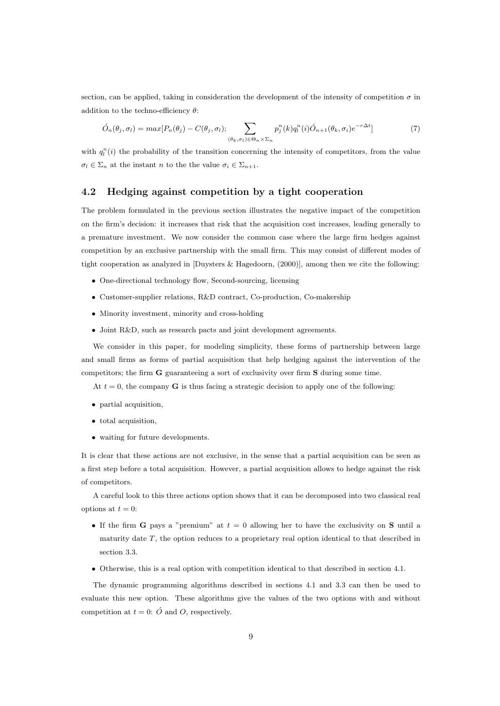section, can be applied, taking in consideration the development of the intensity of competition  $\sigma$  in addition to the techno-efficiency *θ*:

$$
\acute{O}_n(\theta_j, \sigma_l) = \max[P_n(\theta_j) - C(\theta_j, \sigma_l); \sum_{(\theta_k, \sigma_l) \in \Theta_n \times \Sigma_n} p_j^n(k) q_l^n(i) \acute{O}_{n+1}(\theta_k, \sigma_i) e^{-r\Delta t}] \tag{7}
$$

with  $q_l^n(i)$  the probability of the transition concerning the intensity of competitors, from the value  $\sigma_l \in \Sigma_n$  at the instant *n* to the the value  $\sigma_i \in \Sigma_{n+1}$ .

### **4.2 Hedging against competition by a tight cooperation**

The problem formulated in the previous section illustrates the negative impact of the competition on the firm's decision: it increases that risk that the acquisition cost increases, leading generally to a premature investment. We now consider the common case where the large firm hedges against competition by an exclusive partnership with the small firm. This may consist of different modes of tight cooperation as analyzed in [Duysters & Hagedoorn, (2000)], among then we cite the following:

- One-directional technology flow, Second-sourcing, licensing
- *•* Customer-supplier relations, R&D contract, Co-production, Co-makership
- Minority investment, minority and cross-holding
- *•* Joint R&D, such as research pacts and joint development agreements.

We consider in this paper, for modeling simplicity, these forms of partnership between large and small firms as forms of partial acquisition that help hedging against the intervention of the competitors; the firm **G** guaranteeing a sort of exclusivity over firm **S** during some time.

At  $t = 0$ , the company **G** is thus facing a strategic decision to apply one of the following:

- *•* partial acquisition,
- *•* total acquisition,
- *•* waiting for future developments.

It is clear that these actions are not exclusive, in the sense that a partial acquisition can be seen as a first step before a total acquisition. However, a partial acquisition allows to hedge against the risk of competitors.

A careful look to this three actions option shows that it can be decomposed into two classical real options at  $t=0$ :

- If the firm **G** pays a "premium" at  $t = 0$  allowing her to have the exclusivity on **S** until a maturity date *T*, the option reduces to a proprietary real option identical to that described in section 3.3.
- Otherwise, this is a real option with competition identical to that described in section 4.1.

The dynamic programming algorithms described in sections 4.1 and 3.3 can then be used to evaluate this new option. These algorithms give the values of the two options with and without competition at  $t = 0$ :  $\acute{O}$  and  $O$ , respectively.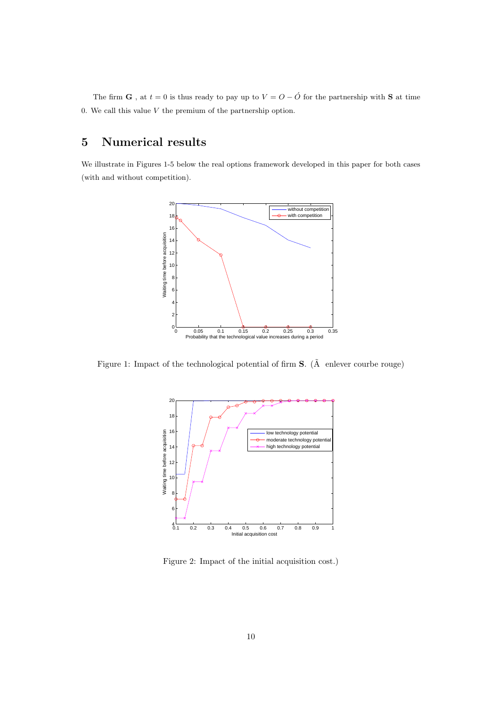The firm **G**, at  $t = 0$  is thus ready to pay up to  $V = O - \hat{O}$  for the partnership with **S** at time 0. We call this value *V* the premium of the partnership option.

# **5 Numerical results**

We illustrate in Figures 1-5 below the real options framework developed in this paper for both cases (with and without competition).



Figure 1: Impact of the technological potential of firm **S**. ( $\tilde{A}$  enlever courbe rouge)



Figure 2: Impact of the initial acquisition cost.)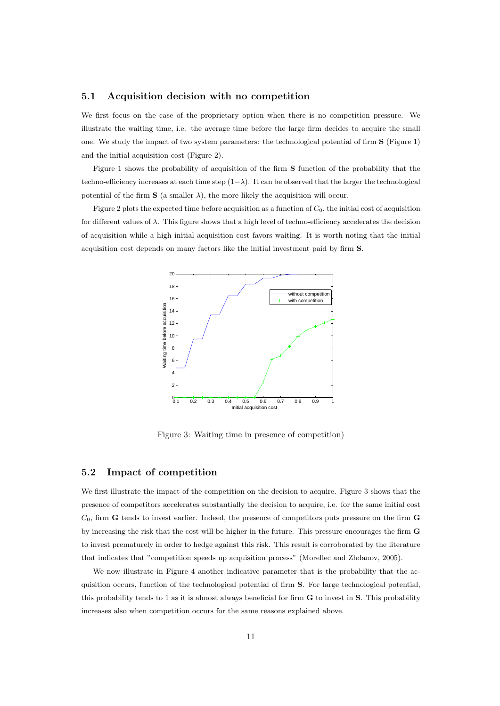## **5.1 Acquisition decision with no competition**

We first focus on the case of the proprietary option when there is no competition pressure. We illustrate the waiting time, i.e. the average time before the large firm decides to acquire the small one. We study the impact of two system parameters: the technological potential of firm **S** (Figure 1) and the initial acquisition cost (Figure 2).

Figure 1 shows the probability of acquisition of the firm **S** function of the probability that the techno-efficiency increases at each time step  $(1-\lambda)$ . It can be observed that the larger the technological potential of the firm  $S$  (a smaller  $\lambda$ ), the more likely the acquisition will occur.

Figure 2 plots the expected time before acquisition as a function of *C*0, the initial cost of acquisition for different values of *λ*. This figure shows that a high level of techno-efficiency accelerates the decision of acquisition while a high initial acquisition cost favors waiting. It is worth noting that the initial acquisition cost depends on many factors like the initial investment paid by firm **S**.



Figure 3: Waiting time in presence of competition)

### **5.2 Impact of competition**

We first illustrate the impact of the competition on the decision to acquire. Figure 3 shows that the presence of competitors accelerates substantially the decision to acquire, i.e. for the same initial cost *C*0, firm **G** tends to invest earlier. Indeed, the presence of competitors puts pressure on the firm **G** by increasing the risk that the cost will be higher in the future. This pressure encourages the firm **G** to invest prematurely in order to hedge against this risk. This result is corroborated by the literature that indicates that "competition speeds up acquisition process" (Morellec and Zhdanov, 2005).

We now illustrate in Figure 4 another indicative parameter that is the probability that the acquisition occurs, function of the technological potential of firm **S**. For large technological potential, this probability tends to 1 as it is almost always beneficial for firm **G** to invest in **S**. This probability increases also when competition occurs for the same reasons explained above.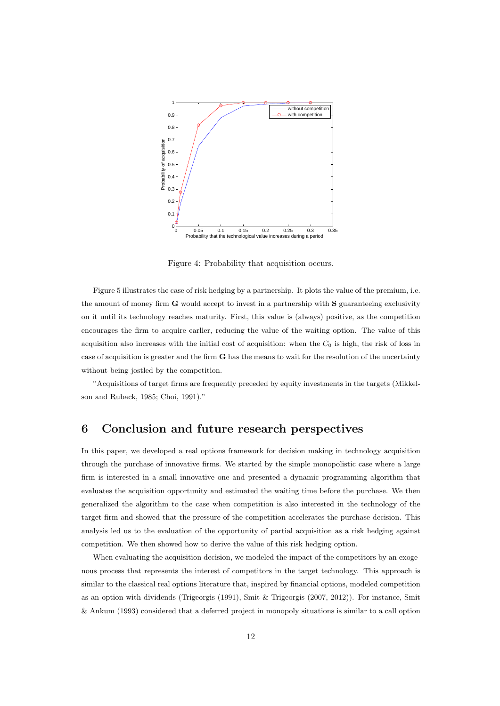

Figure 4: Probability that acquisition occurs.

Figure 5 illustrates the case of risk hedging by a partnership. It plots the value of the premium, i.e. the amount of money firm **G** would accept to invest in a partnership with **S** guaranteeing exclusivity on it until its technology reaches maturity. First, this value is (always) positive, as the competition encourages the firm to acquire earlier, reducing the value of the waiting option. The value of this acquisition also increases with the initial cost of acquisition: when the *C*<sup>0</sup> is high, the risk of loss in case of acquisition is greater and the firm **G** has the means to wait for the resolution of the uncertainty without being jostled by the competition.

"Acquisitions of target firms are frequently preceded by equity investments in the targets (Mikkelson and Ruback, 1985; Choi, 1991)."

# **6 Conclusion and future research perspectives**

In this paper, we developed a real options framework for decision making in technology acquisition through the purchase of innovative firms. We started by the simple monopolistic case where a large firm is interested in a small innovative one and presented a dynamic programming algorithm that evaluates the acquisition opportunity and estimated the waiting time before the purchase. We then generalized the algorithm to the case when competition is also interested in the technology of the target firm and showed that the pressure of the competition accelerates the purchase decision. This analysis led us to the evaluation of the opportunity of partial acquisition as a risk hedging against competition. We then showed how to derive the value of this risk hedging option.

When evaluating the acquisition decision, we modeled the impact of the competitors by an exogenous process that represents the interest of competitors in the target technology. This approach is similar to the classical real options literature that, inspired by financial options, modeled competition as an option with dividends (Trigeorgis (1991), Smit & Trigeorgis (2007, 2012)). For instance, Smit & Ankum (1993) considered that a deferred project in monopoly situations is similar to a call option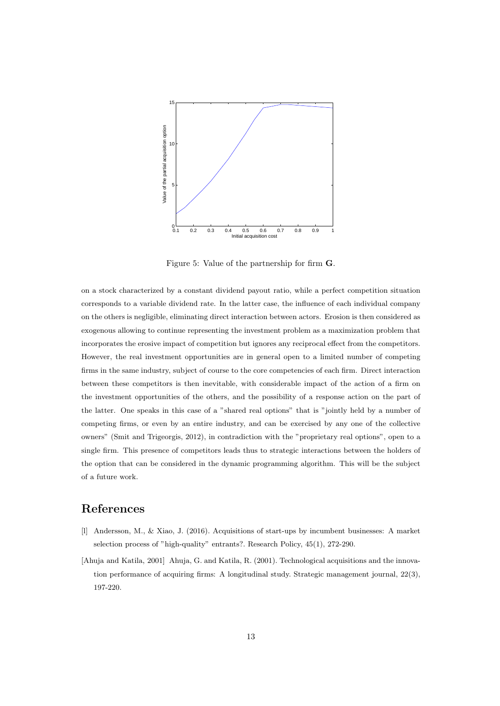

Figure 5: Value of the partnership for firm **G**.

on a stock characterized by a constant dividend payout ratio, while a perfect competition situation corresponds to a variable dividend rate. In the latter case, the influence of each individual company on the others is negligible, eliminating direct interaction between actors. Erosion is then considered as exogenous allowing to continue representing the investment problem as a maximization problem that incorporates the erosive impact of competition but ignores any reciprocal effect from the competitors. However, the real investment opportunities are in general open to a limited number of competing firms in the same industry, subject of course to the core competencies of each firm. Direct interaction between these competitors is then inevitable, with considerable impact of the action of a firm on the investment opportunities of the others, and the possibility of a response action on the part of the latter. One speaks in this case of a "shared real options" that is "jointly held by a number of competing firms, or even by an entire industry, and can be exercised by any one of the collective owners" (Smit and Trigeorgis, 2012), in contradiction with the "proprietary real options", open to a single firm. This presence of competitors leads thus to strategic interactions between the holders of the option that can be considered in the dynamic programming algorithm. This will be the subject of a future work.

# **References**

- [l] Andersson, M., & Xiao, J. (2016). Acquisitions of start-ups by incumbent businesses: A market selection process of "high-quality" entrants?. Research Policy, 45(1), 272-290.
- [Ahuja and Katila, 2001] Ahuja, G. and Katila, R. (2001). Technological acquisitions and the innovation performance of acquiring firms: A longitudinal study. Strategic management journal, 22(3), 197-220.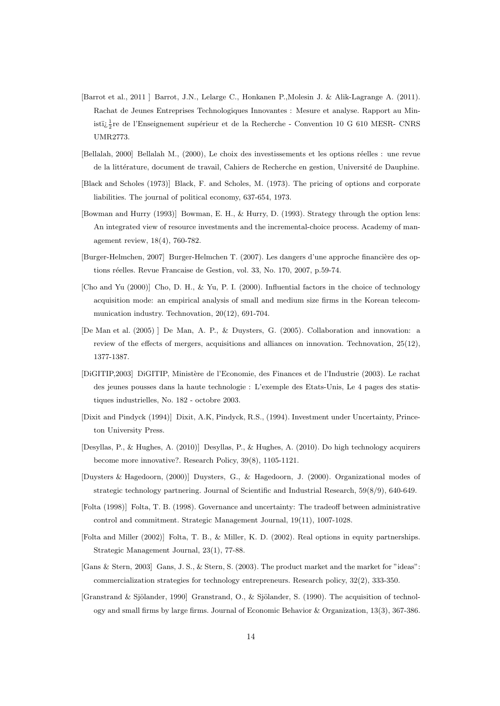- [Barrot et al., 2011 ] Barrot, J.N., Lelarge C., Honkanen P.,Molesin J. & Alik-Lagrange A. (2011). Rachat de Jeunes Entreprises Technologiques Innovantes : Mesure et analyse. Rapport au Ministï $\frac{1}{2}$ re de l'Enseignement supérieur et de la Recherche - Convention 10 G 610 MESR- CNRS UMR2773.
- [Bellalah, 2000] Bellalah M., (2000), Le choix des investissements et les options réelles : une revue de la littérature, document de travail, Cahiers de Recherche en gestion, Université de Dauphine.
- [Black and Scholes (1973)] Black, F. and Scholes, M. (1973). The pricing of options and corporate liabilities. The journal of political economy, 637-654, 1973.
- [Bowman and Hurry (1993)] Bowman, E. H., & Hurry, D. (1993). Strategy through the option lens: An integrated view of resource investments and the incremental-choice process. Academy of management review, 18(4), 760-782.
- [Burger-Helmchen, 2007] Burger-Helmchen T. (2007). Les dangers d'une approche financière des options réelles. Revue Francaise de Gestion, vol. 33, No. 170, 2007, p.59-74.
- [Cho and Yu (2000)] Cho, D. H., & Yu, P. I. (2000). Influential factors in the choice of technology acquisition mode: an empirical analysis of small and medium size firms in the Korean telecommunication industry. Technovation, 20(12), 691-704.
- [De Man et al. (2005) ] De Man, A. P., & Duysters, G. (2005). Collaboration and innovation: a review of the effects of mergers, acquisitions and alliances on innovation. Technovation, 25(12), 1377-1387.
- [DIGITIP,2003] DIGITIP, Ministère de l'Economie, des Finances et de l'Industrie (2003). Le rachat des jeunes pousses dans la haute technologie : L'exemple des Etats-Unis, Le 4 pages des statistiques industrielles, No. 182 - octobre 2003.
- [Dixit and Pindyck (1994)] Dixit, A.K, Pindyck, R.S., (1994). Investment under Uncertainty, Princeton University Press.
- [Desyllas, P., & Hughes, A. (2010)] Desyllas, P., & Hughes, A. (2010). Do high technology acquirers become more innovative?. Research Policy, 39(8), 1105-1121.
- [Duysters & Hagedoorn, (2000)] Duysters, G., & Hagedoorn, J. (2000). Organizational modes of strategic technology partnering. Journal of Scientific and Industrial Research, 59(8/9), 640-649.
- [Folta (1998)] Folta, T. B. (1998). Governance and uncertainty: The tradeoff between administrative control and commitment. Strategic Management Journal, 19(11), 1007-1028.
- [Folta and Miller (2002)] Folta, T. B., & Miller, K. D. (2002). Real options in equity partnerships. Strategic Management Journal, 23(1), 77-88.
- [Gans & Stern, 2003] Gans, J. S., & Stern, S. (2003). The product market and the market for "ideas": commercialization strategies for technology entrepreneurs. Research policy, 32(2), 333-350.
- [Granstrand & Sjölander, 1990] Granstrand, O., & Sjölander, S. (1990). The acquisition of technology and small firms by large firms. Journal of Economic Behavior & Organization, 13(3), 367-386.